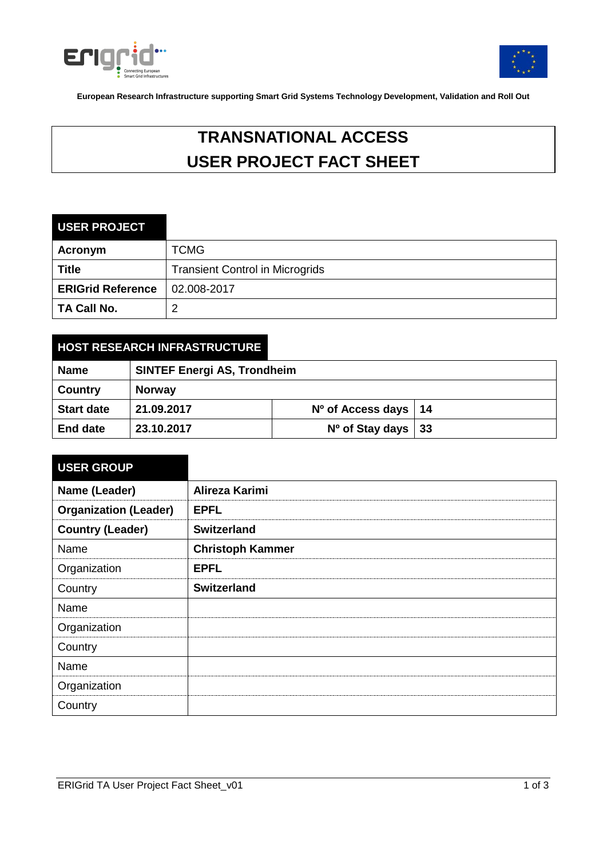



**European Research Infrastructure supporting Smart Grid Systems Technology Development, Validation and Roll Out**

# **TRANSNATIONAL ACCESS USER PROJECT FACT SHEET**

### **USER PROJECT**

| Acronym                  | <b>TCMG</b>                            |
|--------------------------|----------------------------------------|
| <b>Title</b>             | <b>Transient Control in Microgrids</b> |
| <b>ERIGrid Reference</b> | $ 02.008 - 2017 $                      |
| <b>TA Call No.</b>       |                                        |

# **HOST RESEARCH INFRASTRUCTURE**

| <b>Name</b>       | <b>SINTEF Energi AS, Trondheim</b> |                          |  |
|-------------------|------------------------------------|--------------------------|--|
| Country           | <b>Norway</b>                      |                          |  |
| <b>Start date</b> | 21.09.2017                         | $No$ of Access days   14 |  |
| <b>End date</b>   | 23.10.2017                         | $No$ of Stay days   33   |  |

| <b>USER GROUP</b>            |                         |
|------------------------------|-------------------------|
| Name (Leader)                | Alireza Karimi          |
| <b>Organization (Leader)</b> | <b>EPFL</b>             |
| <b>Country (Leader)</b>      | <b>Switzerland</b>      |
| Name                         | <b>Christoph Kammer</b> |
| Organization                 | <b>EPFL</b>             |
| Country                      | <b>Switzerland</b>      |
| Name                         |                         |
| Organization                 |                         |
| Country                      |                         |
| Name                         |                         |
| Organization                 |                         |
| Country                      |                         |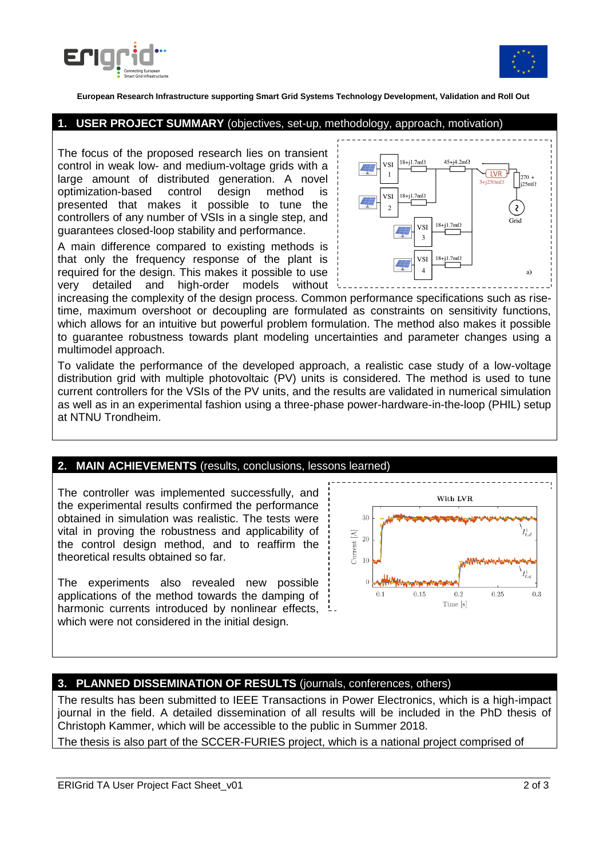



**European Research Infrastructure supporting Smart Grid Systems Technology Development, Validation and Roll Out**

#### **1. USER PROJECT SUMMARY** (objectives, set-up, methodology, approach, motivation)

The focus of the proposed research lies on transient control in weak low- and medium-voltage grids with a large amount of distributed generation. A novel optimization-based control design method is presented that makes it possible to tune the controllers of any number of VSIs in a single step, and guarantees closed-loop stability and performance.

A main difference compared to existing methods is that only the frequency response of the plant is required for the design. This makes it possible to use very detailed and high-order models without

time, maximum overshoot or decoupling are formulated as constraints on sensitivity functions, which allows for an intuitive but powerful problem formulation. The method also makes it possible increasing the complexity of the design process. Common performance specifications such as riseto guarantee robustness towards plant modeling uncertainties and parameter changes using a multimodel approach.

To validate the performance of the developed approach, a realistic case study of a low-voltage distribution grid with multiple photovoltaic (PV) units is considered. The method is used to tune current controllers for the VSIs of the PV units, and the results are validated in numerical simulation as well as in an experimental fashion using a three-phase power-hardware-in-the-loop (PHIL) setup at NTNU Trondheim.

#### **2. MAIN ACHIEVEMENTS** (results, conclusions, lessons learned)

The controller was implemented successfully, and the experimental results confirmed the performance obtained in simulation was realistic. The tests were vital in proving the robustness and applicability of the control design method, and to reaffirm the theoretical results obtained so far.

The experiments also revealed new possible applications of the method towards the damping of harmonic currents introduced by nonlinear effects, which were not considered in the initial design.



## **3. PLANNED DISSEMINATION OF RESULTS** (journals, conferences, others)

The results has been submitted to IEEE Transactions in Power Electronics, which is a high-impact journal in the field. A detailed dissemination of all results will be included in the PhD thesis of Christoph Kammer, which will be accessible to the public in Summer 2018.

The thesis is also part of the SCCER-FURIES project, which is a national project comprised of